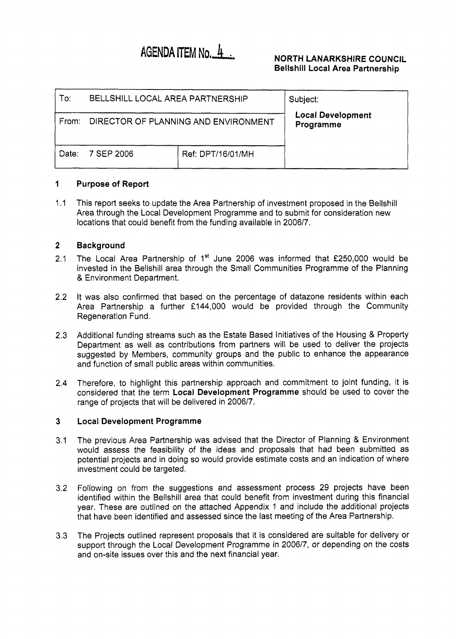# AGENDA ITEM No. 4

### **NORTH LANARKSHIRE COUNCIL Bellshill Local Area Partnership**

| To:   | BELLSHILL LOCAL AREA PARTNERSHIP     | Subject:          |                                       |
|-------|--------------------------------------|-------------------|---------------------------------------|
| From: | DIRECTOR OF PLANNING AND ENVIRONMENT |                   | <b>Local Development</b><br>Programme |
| Date: | 7 SEP 2006                           | Ref: DPT/16/01/MH |                                       |

#### **1 Purpose** of **Report**

1.1 This report seeks to update the Area Partnership of investment proposed in the Bellshill Area through the Local Development Programme and to submit for consideration new locations that could benefit from the funding available in 2006/7.

#### **2 Background**

- 2.1 The Local Area Partnership of  $1<sup>st</sup>$  June 2006 was informed that £250,000 would be invested in the Bellshill area through the Small Communities Programme of the Planning & Environment Department.
- 2.2 It was also confirmed that based on the percentage of datazone residents within each Area Partnership a further £144,000 would be provided through the Community Regeneration Fund.
- 2.3 Additional funding streams such as the Estate Based Initiatives of the Housing & Property Department as well as contributions from partners will be used to deliver the projects suggested by Members, community groups and the public to enhance the appearance and function of small public areas within communities.
- 2.4 Therefore, to highlight this partnership approach and commitment to joint funding, it is considered that the term **Local Development Programme** should be used to cover the range of projects that will be delivered in 2006/7.

#### **3 Local Development Programme**

- 3.1 The previous Area Partnership was advised that the Director of Planning & Environment would assess the feasibility of the ideas and proposals that had been submitted as potential projects and in doing so would provide estimate costs and an indication of where investment could be targeted.
- 3.2 Following on from the suggestions and assessment process 29 projects have been identified within the Bellshill area that could benefit from investment during this financial year. These are outlined on the attached Appendix 1 and include the additional projects that have been identified and assessed since the last meeting of the Area Partnership.
- 3.3 The Projects outlined represent proposals that it is considered are suitable for delivery or support through the Local Development Programme in 2006/7, or depending on the costs and on-site issues over this and the next financial year.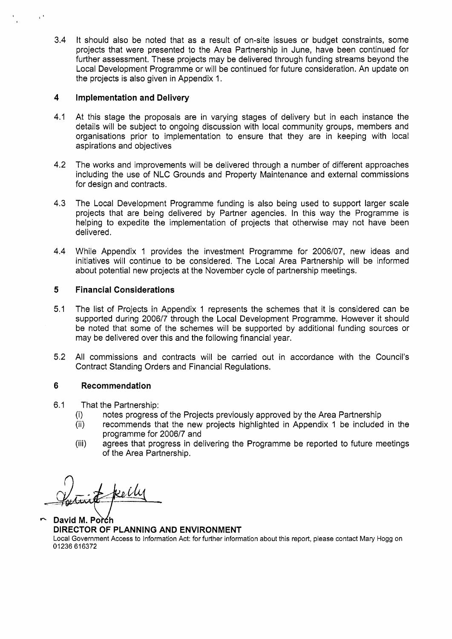3.4 It should also be noted that as a result of on-site issues or budget constraints, some projects that were presented to the Area Partnership in June, have been continued for further assessment. These projects may be delivered through funding streams beyond the Local Development Programme or will be continued for future consideration. An update on the projects is also given in Appendix 1.

### **4 Implementation and Delivery**

- 4.1 At this stage the proposals are in varying stages of delivery but in each instance the details will be subject to ongoing discussion with local community groups, members and organisations prior to implementation to ensure that they are in keeping with local aspirations and objectives
- 4.2 The works and improvements will be delivered through a number of different approaches including the use of NLC Grounds and Property Maintenance and external commissions for design and contracts.
- 4.3 The Local Development Programme funding is also being used to support larger scale projects that are being delivered by Partner agencies. In this way the Programme is helping to expedite the implementation of projects that otherwise may not have been delivered.
- 4.4 While Appendix 1 provides the investment Programme for 2006/07, new ideas and initiatives will continue to be considered. The Local Area Partnership will be informed about potential new projects at the November cycle of partnership meetings.

### **5 Financial Considerations**

- 5.1 The list of Projects in Appendix 1 represents the schemes that it is considered can be supported during 2006/7 through the Local Development Programme. However it should be noted that some of the schemes will be supported by additional funding sources or may be delivered over this and the following financial year.
- 5.2 All commissions and contracts will be carried out in accordance with the Council's Contract Standing Orders and Financial Regulations.

### **6** Recommendation

- 6.1 That the Partnership:
	- (i) notes progress of the Projects previously approved by the Area Partnership
	- (ii) recommends that the new projects highlighted in Appendix I be included in the programme for 2006/7 and
	- (iii) agrees that progress in delivering the Programme be reported to future meetings of the Area Partnership.

*n*  ke U

David M. Porch **DIRECTOR OF PLANNING AND ENVIRONMENT**  Local Government Access to Information Act: for further information about this report, please contact Mary Hogg on 01236616372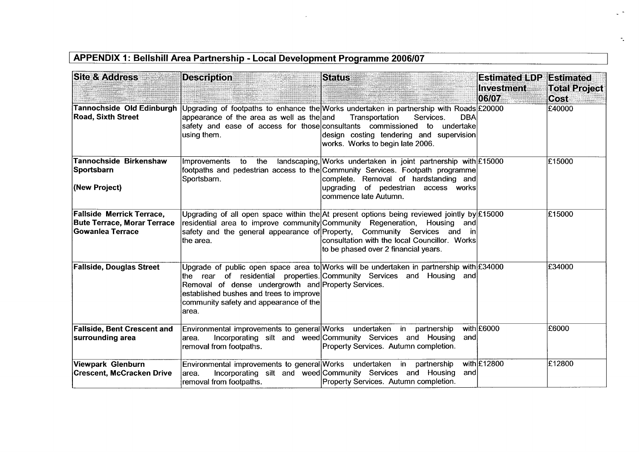## **APPENDIX 1: Bellshill Area Partnership - Local Development Programme 2006/07**

| <b>Site &amp; Address</b>                                                            | <b>Description</b>                                                                                                                                | <b>Status</b>                                                                                                                                                                                                                                                                                                                                | <b>Estimated LDP Estimated</b><br><b>Investment</b><br>0607 | <b>Total Project</b><br>Cost. |
|--------------------------------------------------------------------------------------|---------------------------------------------------------------------------------------------------------------------------------------------------|----------------------------------------------------------------------------------------------------------------------------------------------------------------------------------------------------------------------------------------------------------------------------------------------------------------------------------------------|-------------------------------------------------------------|-------------------------------|
| Tannochside Old Edinburgh<br><b>Road, Sixth Street</b>                               | appearance of the area as well as the and<br>safety and ease of access for those consultants commissioned to<br>using them.                       | Upgrading of footpaths to enhance the Works undertaken in partnership with Roads £20000<br>Transportation<br>Services.<br><b>DBA</b><br>undertake<br>design costing tendering and supervision<br>works. Works to begin late 2006.                                                                                                            |                                                             | £40000                        |
| <b>Tannochside Birkenshaw</b><br>Sportsbarn<br>(New Project)                         | <b>Improvements</b><br>to the<br>Sportsbarn.                                                                                                      | landscaping, Works undertaken in joint partnership with $\mathsf{E}15000$<br>footpaths and pedestrian access to the Community Services. Footpath programme<br>complete. Removal of hardstanding and<br>upgrading of pedestrian access works<br>commence late Autumn.                                                                         |                                                             | £15000                        |
| Fallside Merrick Terrace,<br><b>Bute Terrace, Morar Terrace</b><br>∣Gowanlea Terrace | the area.                                                                                                                                         | Upgrading of all open space within the At present options being reviewed jointly by £15000<br>residential area to improve community Community Regeneration, Housing and<br>safety and the general appearance of Property, Community Services and in<br>consultation with the local Councillor. Works<br>to be phased over 2 financial years. |                                                             | £15000                        |
| <b>Fallside, Douglas Street</b>                                                      | Removal of dense undergrowth and Property Services.<br>established bushes and trees to improve<br>community safety and appearance of the<br>area. | Upgrade of public open space area to Works will be undertaken in partnership with £34000<br>the rear of residential properties. Community Services and Housing and                                                                                                                                                                           |                                                             | £34000                        |
| <b>Fallside, Bent Crescent and</b><br>surrounding area                               | Environmental improvements to general Works undertaken in partnership<br>area.<br>removal from footpaths.                                         | Incorporating silt and weed Community Services and Housing<br>andl<br>Property Services. Autumn completion.                                                                                                                                                                                                                                  | with £6000                                                  | E6000                         |
| Viewpark Glenburn<br><b>Crescent, McCracken Drive</b>                                | Environmental improvements to general Works undertaken in partnership<br>area.<br>removal from footpaths.                                         | Incorporating silt and weed Community Services and Housing<br>and<br>Property Services. Autumn completion.                                                                                                                                                                                                                                   | with £12800                                                 | £12800                        |

 $\sigma_{\rm{g}}$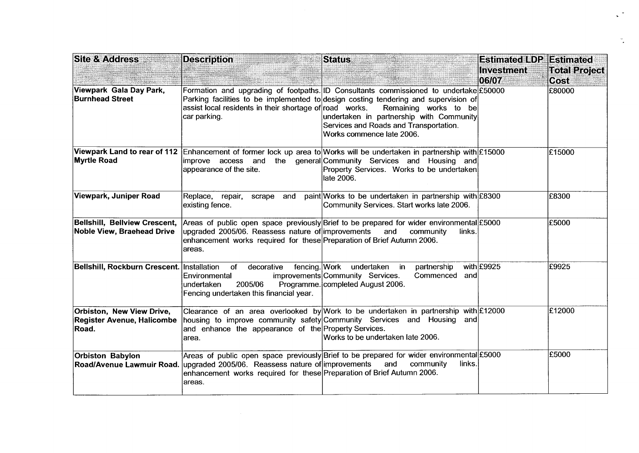| <b>Site &amp; Address</b>                                        | <b>Description</b>                                                                                                                    | <b>Status</b>                                                                                                                                                                                                                                                             | <b>Estimated LDP</b><br><b>Investment</b> | Estimated<br><b>Total Project</b> |
|------------------------------------------------------------------|---------------------------------------------------------------------------------------------------------------------------------------|---------------------------------------------------------------------------------------------------------------------------------------------------------------------------------------------------------------------------------------------------------------------------|-------------------------------------------|-----------------------------------|
|                                                                  |                                                                                                                                       |                                                                                                                                                                                                                                                                           | 06/07                                     | Cost                              |
| Viewpark Gala Day Park,<br><b>Burnhead Street</b>                | Formation and upgrading of footpaths. ID Consultants<br>assist local residents in their shortage of road works.<br>∣car parking.      | commissioned to undertake £50000<br>Parking facilities to be implemented to design costing tendering and supervision of<br>Remaining<br>works to<br>be<br>undertaken in partnership with Community<br>Services and Roads and Transportation.<br>Works commence late 2006. |                                           | £80000                            |
| <b>Myrtle Road</b>                                               | improve access and<br>appearance of the site.                                                                                         | Viewpark Land to rear of 112 Enhancement of former lock up area to Works will be undertaken in partnership with £15000<br>the general Community Services and Housing and<br>Property Services. Works to be undertaken<br>late 2006.                                       |                                           | £15000                            |
| Viewpark, Juniper Road                                           | Replace,<br>repair, scrape and<br>existing fence.                                                                                     | paint Works to be undertaken in partnership with £8300<br>Community Services. Start works late 2006.                                                                                                                                                                      |                                           | £8300                             |
| Bellshill, Bellview Crescent,<br>Noble View, Braehead Drive      | upgraded 2005/06. Reassess nature of improvements<br>enhancement works required for these Preparation of Brief Autumn 2006.<br>areas. | Areas of public open space previously Brief to be prepared for wider environmental £5000<br>community<br>and<br>links.                                                                                                                                                    |                                           | £5000                             |
| Bellshill, Rockburn Crescent. Installation                       | decorative<br>fencing. Work<br>of<br>Environmental<br>2005/06<br>undertaken<br>Fencing undertaken this financial year.                | undertaken<br>partnership<br>in in<br>improvements Community Services.<br>Commenced<br>andl<br>Programme. completed August 2006.                                                                                                                                          | with £9925                                | £9925                             |
| Orbiston, New View Drive,<br>Register Avenue, Halicombe<br>Road. | housing to improve community safety Community Services and Housing<br>and enhance the appearance of the Property Services.<br>area.   | Clearance of an area overlooked by Work to be undertaken in partnership with £12000<br>andl<br>Works to be undertaken late 2006.                                                                                                                                          |                                           | £12000                            |
| <b>Orbiston Babylon</b><br>Road/Avenue Lawmuir Road.             | upgraded 2005/06. Reassess nature of improvements<br>enhancement works required for these Preparation of Brief Autumn 2006.           | Areas of public open space previously Brief to be prepared for wider environmental £5000<br>and<br>community<br>links.                                                                                                                                                    |                                           | £5000                             |
|                                                                  | areas.                                                                                                                                |                                                                                                                                                                                                                                                                           |                                           |                                   |

 $\mathcal{L}^{\text{max}}$ 

 $\frac{d\mathbf{r}}{d\mathbf{r}}$  .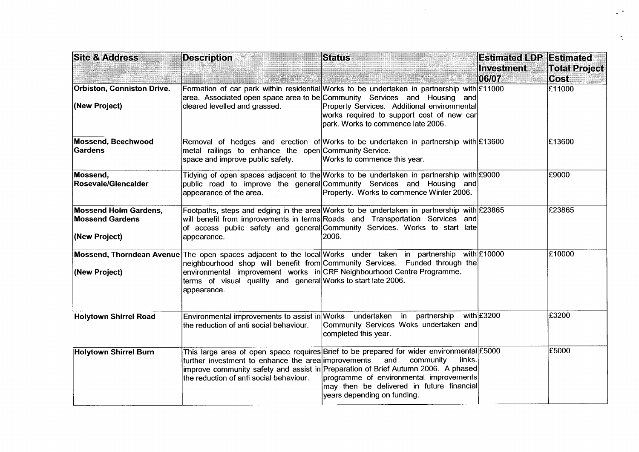| <b>Site &amp; Address</b>                                               | <b>Description</b>                                                                             | <b>Status</b>                                                                                                                                                                                                                                                                                                                       | <b>Estimated LDP Estimated</b> |                                     |
|-------------------------------------------------------------------------|------------------------------------------------------------------------------------------------|-------------------------------------------------------------------------------------------------------------------------------------------------------------------------------------------------------------------------------------------------------------------------------------------------------------------------------------|--------------------------------|-------------------------------------|
|                                                                         |                                                                                                |                                                                                                                                                                                                                                                                                                                                     | Investment<br>06/07            | <b>Total Project</b><br><b>Cost</b> |
| Orbiston, Conniston Drive.<br>(New Project)                             | cleared levelled and grassed.                                                                  | Formation of car park within residential Works to be undertaken in partnership with £11000<br> area. Associated open space area to be Community Services and Housing and <br>Property Services. Additional environmental<br>works required to support cost of new car<br>park. Works to commence late 2006.                         |                                | E11000                              |
| <b>Mossend, Beechwood</b><br><b>Gardens</b>                             | metal railings to enhance the open Community Service.<br>space and improve public safety.      | Removal of hedges and erection of Works to be undertaken in partnership with £13600<br>Works to commence this year.                                                                                                                                                                                                                 |                                | £13600                              |
| Mossend,<br>Rosevale/Glencalder                                         | appearance of the area.                                                                        | Tidying of open spaces adjacent to the Works to be undertaken in partnership with £9000<br>public road to improve the general Community Services and Housing and<br>Property. Works to commence Winter 2006.                                                                                                                        |                                | £9000                               |
| <b>Mossend Holm Gardens,</b><br><b>Mossend Gardens</b><br>(New Project) | appearance.                                                                                    | Footpaths, steps and edging in the area Works to be undertaken in partnership with £23865<br>will benefit from improvements in terms Roads and Transportation Services and<br>of access public safety and general Community Services. Works to start late<br>2006.                                                                  |                                | £23865                              |
| (New Project)                                                           | terms of visual quality and general Works to start late 2006.<br>appearance.                   | Mossend, Thorndean Avenue The open spaces adjacent to the local Works under taken in partnership with £10000<br>neighbourhood shop will benefit from Community Services. Funded through the<br>environmental improvement works in CRF Neighbourhood Centre Programme.                                                               |                                | £10000                              |
| Holytown Shirrel Road                                                   | the reduction of anti social behaviour.                                                        | Environmental improvements to assist in Works undertaken in partnership<br>Community Services Woks undertaken and<br>completed this year.                                                                                                                                                                                           | with £3200                     | £3200                               |
| <b>Holytown Shirrel Burn</b>                                            | further investment to enhance the area improvements<br>the reduction of anti social behaviour. | This large area of open space requires Brief to be prepared for wider environmental £5000<br>and<br>community<br>links.<br>improve community safety and assist in Preparation of Brief Autumn 2006. A phased<br>programme of environmental improvements<br>may then be delivered in future financial<br>years depending on funding. |                                | £5000                               |

 $\mathcal{L}^{(\bullet)}$ 

 $\frac{1}{\sqrt{2}}$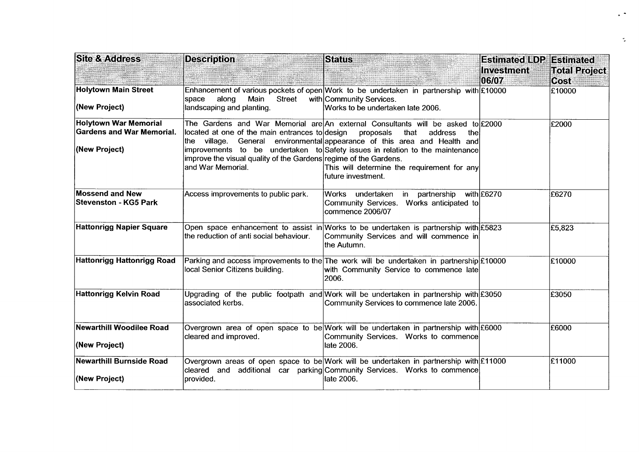| <b>Site &amp; Address</b>                                                         | <b>Description</b>                                                                                                                       | <b>Status</b>                                                                                                                                                                                                                                                                                                                                              | <b>Estimated LDP Estimated</b> |                              |
|-----------------------------------------------------------------------------------|------------------------------------------------------------------------------------------------------------------------------------------|------------------------------------------------------------------------------------------------------------------------------------------------------------------------------------------------------------------------------------------------------------------------------------------------------------------------------------------------------------|--------------------------------|------------------------------|
|                                                                                   |                                                                                                                                          | <b>KARA WAN</b>                                                                                                                                                                                                                                                                                                                                            | Investment<br>06/07            | <b>Total Project</b><br>Cost |
| <b>Holytown Main Street</b><br>(New Project)                                      | <b>Street</b><br>along<br>Main<br>space<br>landscaping and planting.                                                                     | Enhancement of various pockets of open Work to be undertaken in partnership with £10000<br>with Community Services.<br>Works to be undertaken late 2006.                                                                                                                                                                                                   |                                | £10000                       |
| <b>Holytown War Memorial</b><br><b>Gardens and War Memorial.</b><br>(New Project) | located at one of the main entrances to design<br>improve the visual quality of the Gardens regime of the Gardens.<br>land War Memorial. | The Gardens and War Memorial are An external Consultants will be asked to £2000<br>proposals<br>that<br>address<br>thel<br>the village. General environmental appearance of this area and Health and<br>improvements to be undertaken to Safety issues in relation to the maintenance<br>This will determine the requirement for any<br>future investment. |                                | £2000                        |
| <b>Mossend and New</b><br><b>Stevenston - KG5 Park</b>                            | Access improvements to public park.                                                                                                      | Works undertaken<br>in partnership with £6270<br>Community Services. Works anticipated to<br>commence 2006/07                                                                                                                                                                                                                                              |                                | £6270                        |
| Hattonrigg Napier Square                                                          | the reduction of anti social behaviour.                                                                                                  | Open space enhancement to assist in Works to be undertaken is partnership with £5823<br>Community Services and will commence in<br>the Autumn.                                                                                                                                                                                                             |                                | £5,823                       |
| Hattonrigg Hattonrigg Road                                                        | local Senior Citizens building.                                                                                                          | Parking and access improvements to the The work will be undertaken in partnership $\pounds$ 10000<br>with Community Service to commence late<br>2006.                                                                                                                                                                                                      |                                | £10000                       |
| Hattonrigg Kelvin Road                                                            | lassociated kerbs.                                                                                                                       | Upgrading of the public footpath and Work will be undertaken in partnership with £3050<br>Community Services to commence late 2006.                                                                                                                                                                                                                        |                                | £3050                        |
| <b>Newarthill Woodilee Road</b><br>(New Project)                                  | cleared and improved.                                                                                                                    | Overgrown area of open space to be Work will be undertaken in partnership with £6000<br>Community Services. Works to commence<br>late 2006.                                                                                                                                                                                                                |                                | £6000                        |
| <b>Newarthill Burnside Road</b><br>(New Project)                                  | provided.                                                                                                                                | Overgrown areas of open space to be Work will be undertaken in partnership with £11000<br>cleared and additional car parking Community Services. Works to commence<br>late 2006.                                                                                                                                                                           |                                | £11000                       |

 $\ddot{\phantom{1}}$ 

 $\Delta \phi$